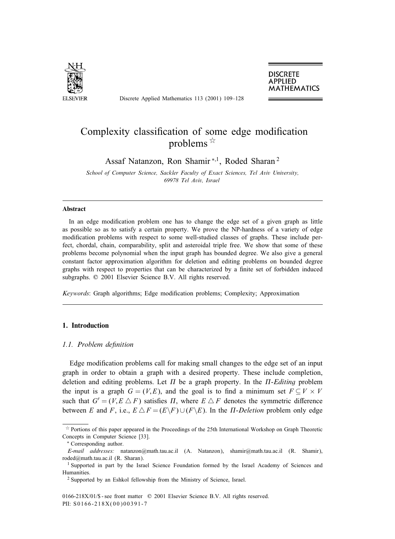

Discrete Applied Mathematics 113 (2001) 109–128

**DISCRETE APPLIED MATHEMATICS** 

# Complexity classification of some edge modification problems  $\overrightarrow{x}$

Assaf Natanzon, Ron Shamir <sup>∗</sup>;1, Roded Sharan <sup>2</sup>

*School of Computer Science, Sackler Faculty of Exact Sciences, Tel Aviv University, 69978 Tel Aviv, Israel*

# **Abstract**

In an edge modification problem one has to change the edge set of a given graph as little as possible so as to satisfy a certain property. We prove the NP-hardness of a variety of edge modification problems with respect to some well-studied classes of graphs. These include perfect, chordal, chain, comparability, split and asteroidal triple free. We show that some of these problems become polynomial when the input graph has bounded degree. We also give a general constant factor approximation algorithm for deletion and editing problems on bounded degree graphs with respect to properties that can be characterized by a finite set of forbidden induced subgraphs.  $© 2001$  Elsevier Science B.V. All rights reserved.

*Keywords*: Graph algorithms; Edge modification problems; Complexity; Approximation

# **1. Introduction**

## 1.1. Problem definition

Edge modification problems call for making small changes to the edge set of an input graph in order to obtain a graph with a desired property. These include completion, deletion and editing problems. Let  $\Pi$  be a graph property. In the  $\Pi$ -Editing problem the input is a graph  $G = (V, E)$ , and the goal is to find a minimum set  $F \subseteq V \times V$ such that  $G' = (V, E \triangle F)$  satisfies  $\Pi$ , where  $E \triangle F$  denotes the symmetric difference between E and F, i.e.,  $E \Delta F = (E \backslash F) \cup (F \backslash E)$ . In the  $\Pi$ -Deletion problem only edge

0166-218X/01/\$ - see front matter © 2001 Elsevier Science B.V. All rights reserved. PII: S0166-218X(00)00391-7

 $\overrightarrow{p}$  Portions of this paper appeared in the Proceedings of the 25th International Workshop on Graph Theoretic Concepts in Computer Science [33].

<sup>∗</sup> Correspondingauthor.

*E-mail addresses:* natanzon@math.tau.ac.il (A. Natanzon), shamir@math.tau.ac.il (R. Shamir), roded@math.tau.ac.il (R. Sharan).

<sup>&</sup>lt;sup>1</sup> Supported in part by the Israel Science Foundation formed by the Israel Academy of Sciences and Humanities.

<sup>2</sup> Supported by an Eshkol fellowship from the Ministry of Science, Israel.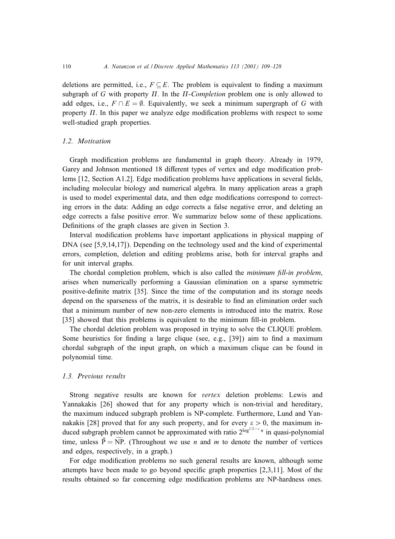deletions are permitted, i.e.,  $F \subseteq E$ . The problem is equivalent to finding a maximum subgraph of  $G$  with property  $\Pi$ . In the  $\Pi$ -*Completion* problem one is only allowed to add edges, i.e.,  $F \cap E = \emptyset$ . Equivalently, we seek a minimum supergraph of G with property  $\Pi$ . In this paper we analyze edge modification problems with respect to some well-studied graph properties.

## *1.2. Motivation*

Graph modification problems are fundamental in graph theory. Already in 1979, Garey and Johnson mentioned 18 different types of vertex and edge modification problems  $[12, Section A1.2]$ . Edge modification problems have applications in several fields, including molecular biology and numerical algebra. In many application areas a graph is used to model experimental data, and then edge modifications correspond to correcting errors in the data: Adding an edge corrects a false negative error, and deleting an edge corrects a false positive error. We summarize below some of these applications. Definitions of the graph classes are given in Section 3.

Interval modification problems have important applications in physical mapping of  $DNA$  (see [5,9,14,17]). Depending on the technology used and the kind of experimental errors, completion, deletion and editing problems arise, both for interval graphs and for unit interval graphs.

The chordal completion problem, which is also called the *minimum (ll-in problem*, arises when numerically performing a Gaussian elimination on a sparse symmetric positive-denite matrix [35]. Since the time of the computation and its storage needs depend on the sparseness of the matrix, it is desirable to find an elimination order such that a minimum number of new non-zero elements is introduced into the matrix. Rose [35] showed that this problems is equivalent to the minimum fill-in problem.

The chordal deletion problem was proposed in trying to solve the CLIQUE problem. Some heuristics for finding a large clique (see, e.g.,  $[39]$ ) aim to find a maximum chordal subgraph of the input graph, on which a maximum clique can be found in polynomial time.

## *1.3. Previous results*

Strong negative results are known for *vertex* deletion problems: Lewis and Yannakakis [26] showed that for any property which is non-trivial and hereditary, the maximum induced subgraph problem is NP-complete. Furthermore, Lund and Yannakakis [28] proved that for any such property, and for every  $\varepsilon > 0$ , the maximum induced subgraph problem cannot be approximated with ratio  $2^{\log^{1/2-\epsilon} n}$  in quasi-polynomial time, unless  $\tilde{P} = \tilde{NP}$ . (Throughout we use *n* and *m* to denote the number of vertices and edges, respectively, in a graph.)

For edge modification problems no such general results are known, although some attempts have been made to go beyond specific graph properties  $[2,3,11]$ . Most of the results obtained so far concerning edge modification problems are NP-hardness ones.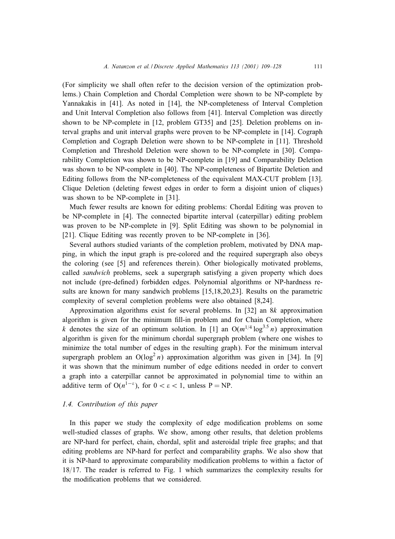(For simplicity we shall often refer to the decision version of the optimization problems.) Chain Completion and Chordal Completion were shown to be NP-complete by Yannakakis in [41]. As noted in [14], the NP-completeness of Interval Completion and Unit Interval Completion also follows from [41]. Interval Completion was directly shown to be NP-complete in [12, problem GT35] and [25]. Deletion problems on interval graphs and unit interval graphs were proven to be NP-complete in [14]. Cograph Completion and Cograph Deletion were shown to be NP-complete in [11]. Threshold Completion and Threshold Deletion were shown to be NP-complete in [30]. Comparability Completion was shown to be NP-complete in [19] and Comparability Deletion was shown to be NP-complete in [40]. The NP-completeness of Bipartite Deletion and Editing follows from the NP-completeness of the equivalent MAX-CUT problem [13]. Clique Deletion (deleting fewest edges in order to form a disjoint union of cliques) was shown to be NP-complete in [31].

Much fewer results are known for editing problems: Chordal Editing was proven to be  $NP$ -complete in [4]. The connected bipartite interval (caterpillar) editing problem was proven to be NP-complete in [9]. Split Editing was shown to be polynomial in [21]. Clique Editing was recently proven to be NP-complete in [36].

Several authors studied variants of the completion problem, motivated by DNA mapping, in which the input graph is pre-colored and the required supergraph also obeys the coloring(see [5] and references therein). Other biologically motivated problems, called *sandwich* problems, seek a supergraph satisfying a given property which does not include (pre-defined) forbidden edges. Polynomial algorithms or NP-hardness results are known for many sandwich problems [15,18,20,23]. Results on the parametric complexity of several completion problems were also obtained [8,24].

Approximation algorithms exist for several problems. In [32] an 8k approximation algorithm is given for the minimum fill-in problem and for Chain Completion, where k denotes the size of an optimum solution. In [1] an  $O(m^{1/4} \log^{3.5} n)$  approximation algorithm is given for the minimum chordal supergraph problem (where one wishes to minimize the total number of edges in the resulting graph). For the minimum interval supergraph problem an  $O(log^2 n)$  approximation algorithm was given in [34]. In [9] it was shown that the minimum number of edge editions needed in order to convert a graph into a caterpillar cannot be approximated in polynomial time to within an additive term of  $O(n^{1-\epsilon})$ , for  $0 < \epsilon < 1$ , unless P = NP.

# *1.4. Contribution of this paper*

In this paper we study the complexity of edge modification problems on some well-studied classes of graphs. We show, among other results, that deletion problems are NP-hard for perfect, chain, chordal, split and asteroidal triple free graphs; and that editing problems are NP-hard for perfect and comparability graphs. We also show that it is NP-hard to approximate comparability modification problems to within a factor of  $18/17$ . The reader is referred to Fig. 1 which summarizes the complexity results for the modification problems that we considered.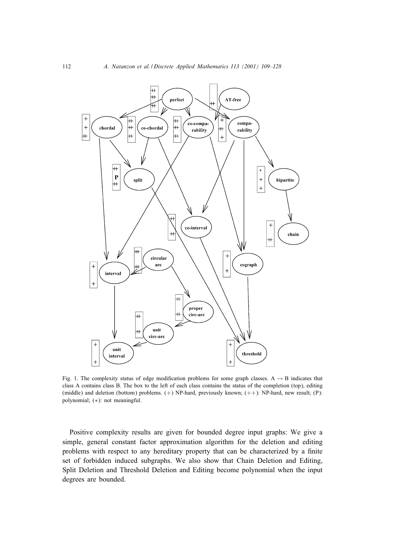

Fig. 1. The complexity status of edge modification problems for some graph classes. A  $\rightarrow$  B indicates that class A contains class B. The box to the left of each class contains the status of the completion (top), editing (middle) and deletion (bottom) problems. (+) NP-hard, previously known; (++): NP-hard, new result; (P): polynomial; (∗): not meaningful.

Positive complexity results are given for bounded degree input graphs: We give a simple, general constant factor approximation algorithm for the deletion and editing problems with respect to any hereditary property that can be characterized by a finite set of forbidden induced subgraphs. We also show that Chain Deletion and Editing, Split Deletion and Threshold Deletion and Editing become polynomial when the input degrees are bounded.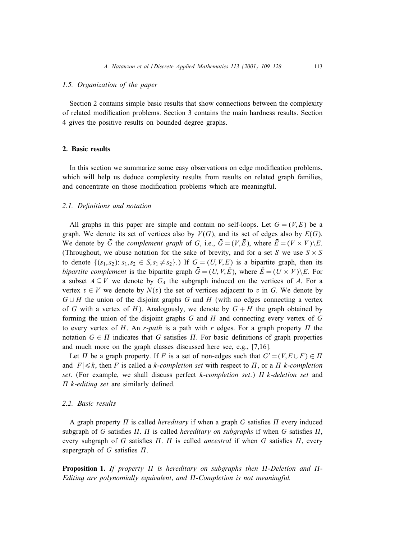#### *1.5. Organization of the paper*

Section 2 contains simple basic results that show connections between the complexity of related modication problems. Section 3 contains the main hardness results. Section 4 gives the positive results on bounded degree graphs.

# **2. Basic results**

In this section we summarize some easy observations on edge modification problems, which will help us deduce complexity results from results on related graph families, and concentrate on those modification problems which are meaningful.

#### 2.1. Definitions and notation

All graphs in this paper are simple and contain no self-loops. Let  $G = (V, E)$  be a graph. We denote its set of vertices also by  $V(G)$ , and its set of edges also by  $E(G)$ . We denote by  $\bar{G}$  the *complement graph* of G, i.e.,  $\bar{G} = (V, \bar{E})$ , where  $\bar{E} = (V \times V) \setminus E$ . (Throughout, we abuse notation for the sake of brevity, and for a set S we use  $S \times S$ to denote  $\{(s_1, s_2): s_1, s_2 \in S, s_1 \neq s_2\}$ .) If  $G = (U, V, E)$  is a bipartite graph, then its *bipartite complement* is the bipartite graph  $\bar{G} = (U, V, \bar{E})$ , where  $\bar{E} = (U \times V) \setminus E$ . For a subset  $A \subseteq V$  we denote by  $G_A$  the subgraph induced on the vertices of A. For a vertex  $v \in V$  we denote by  $N(v)$  the set of vertices adjacent to v in G. We denote by  $G \cup H$  the union of the disjoint graphs G and H (with no edges connecting a vertex of G with a vertex of H). Analogously, we denote by  $G + H$  the graph obtained by forming the union of the disjoint graphs  $G$  and  $H$  and connecting every vertex of  $G$ to every vertex of H. An  $r$ -path is a path with  $r$  edges. For a graph property  $\Pi$  the notation  $G \in \Pi$  indicates that G satisfies  $\Pi$ . For basic definitions of graph properties and much more on the graph classes discussed here see, e.g., [7,16].

Let  $\Pi$  be a graph property. If F is a set of non-edges such that  $G' = (V, E \cup F) \in \Pi$ and  $|F| \le k$ , then F is called a k-*completion set* with respect to  $\Pi$ , or a  $\Pi$  k-*completion* set. (For example, we shall discuss perfect k-completion set.)  $\Pi$  k-*deletion set* and  $\Pi$  *k*-*editing set* are similarly defined.

# *2.2. Basic results*

A graph property  $\Pi$  is called *hereditary* if when a graph  $G$  satisfies  $\Pi$  every induced subgraph of G satisfies  $\Pi$ .  $\Pi$  is called *hereditary on subgraphs* if when G satisfies  $\Pi$ , every subgraph of G satisfies  $\Pi$ .  $\Pi$  is called *ancestral* if when G satisfies  $\Pi$ , every supergraph of  $G$  satisfies  $\Pi$ .

**Proposition 1.** If property  $\Pi$  is hereditary on subgraphs then  $\Pi$ -Deletion and  $\Pi$ -Editing are polynomially equivalent, and  $\Pi$ -Completion is not meaningful.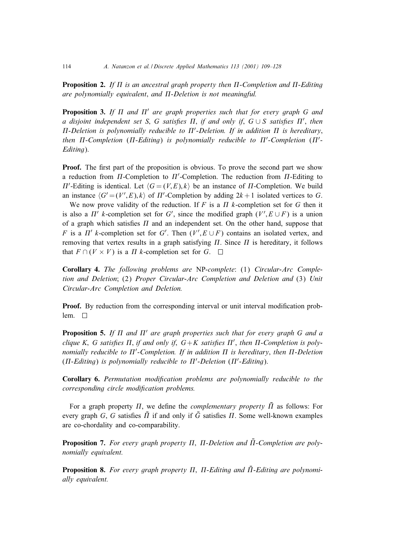**Proposition 2.** If  $\Pi$  is an ancestral graph property then  $\Pi$ -Completion and  $\Pi$ -Editing *are polynomially equivalent*; *and* --*Deletion is not meaningful.*

**Proposition 3.** If  $\Pi$  and  $\Pi'$  are graph properties such that for every graph G and  $a$  disjoint independent set S, G satisfies  $\Pi$ , if and only if, G∪S satisfies  $\Pi'$ , then  $\Pi$ -Deletion is polynomially reducible to  $\Pi'$ -Deletion. If in addition  $\Pi$  is hereditary,  $t$ hen  $\Pi$ -Completion ( $\Pi$ -Editing) is polynomially reducible to  $\Pi'$ -Completion ( $\Pi'$ -*Editing*).

**Proof.** The first part of the proposition is obvious. To prove the second part we show a reduction from  $\Pi$ -Completion to  $\Pi'$ -Completion. The reduction from  $\Pi$ -Editing to  $\Pi'$ -Editing is identical. Let  $\langle G = (V, E), k \rangle$  be an instance of  $\Pi$ -Completion. We build an instance  $\langle G' = (V', E), k \rangle$  of  $\Pi'$ -Completion by adding  $2k + 1$  isolated vertices to G.

We now prove validity of the reduction. If F is a  $\Pi$  k-completion set for G then it is also a  $\Pi'$  k-completion set for G', since the modified graph  $(V', E \cup F)$  is a union of a graph which satisfies  $\Pi$  and an independent set. On the other hand, suppose that F is a  $\Pi'$  k-completion set for G'. Then  $(V', E \cup F)$  contains an isolated vertex, and removing that vertex results in a graph satisfying  $\Pi$ . Since  $\Pi$  is hereditary, it follows that  $F \cap (V \times V)$  is a  $\Pi$  k-completion set for  $G$ .

**Corollary 4.** *The following problems are* NP-*complete*: (1) *Circular-Arc Completion and Deletion*; (2) *Proper Circular-Arc Completion and Deletion and* (3) *Unit Circular-Arc Completion and Deletion.*

**Proof.** By reduction from the corresponding interval or unit interval modification problem.  $\square$ 

**Proposition 5.** If  $\Pi$  and  $\Pi'$  are graph properties such that for every graph G and a  $clique K, G satisfies \Pi, if and only if, G+K satisfies \Pi', then \Pi-Completion is poly-  
tion.$  $m$ *nomially reducible to*  $\Pi'$ -Completion. If in addition  $\Pi$  is hereditary, then  $\Pi$ -Deletion  $(\Pi$ -Editing) is polynomially reducible to  $\Pi'$ -Deletion  $(\Pi'$ -Editing).

**Corollary 6.** *Permutation modi(cation problems are polynomially reducible to the corresponding circle modification problems.* 

For a graph property  $\Pi$ , we define the *complementary property*  $\overline{\Pi}$  as follows: For every graph G, G satisfies  $\bar{\Pi}$  if and only if  $\bar{G}$  satisfies  $\Pi$ . Some well-known examples are co-chordality and co-comparability.

**Proposition 7.** For every graph property  $\Pi$ ,  $\Pi$ -Deletion and  $\Pi$ -Completion are poly*nomially equivalent.*

**Proposition 8.** For every graph property  $\Pi$ ,  $\Pi$ -Editing and  $\Pi$ -Editing are polynomi*ally equivalent.*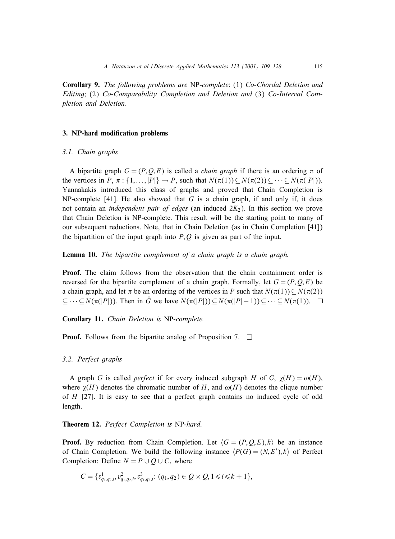**Corollary 9.** *The following problems are* NP-*complete*: (1) *Co-Chordal Deletion and Editing*; (2) *Co-Comparability Completion and Deletion and* (3) *Co-Interval Completion and Deletion.*

# **3. NP-hard modification problems**

#### *3.1. Chain graphs*

A bipartite graph  $G = (P, Q, E)$  is called a *chain graph* if there is an ordering  $\pi$  of the vertices in P,  $\pi$ : {1,...,|P|}  $\rightarrow$  P, such that  $N(\pi(1)) \subseteq N(\pi(2)) \subseteq \cdots \subseteq N(\pi(|P|)).$ Yannakakis introduced this class of graphs and proved that Chain Completion is NP-complete  $[41]$ . He also showed that G is a chain graph, if and only if, it does not contain an *independent pair of edges* (an induced 2K2). In this section we prove that Chain Deletion is NP-complete. This result will be the starting point to many of our subsequent reductions. Note, that in Chain Deletion (as in Chain Completion [41]) the bipartition of the input graph into  $P, Q$  is given as part of the input.

**Lemma 10.** *The bipartite complement of a chain graph is a chain graph.*

**Proof.** The claim follows from the observation that the chain containment order is reversed for the bipartite complement of a chain graph. Formally, let  $G = (P, Q, E)$  be a chain graph, and let  $\pi$  be an ordering of the vertices in P such that  $N(\pi(1)) \subseteq N(\pi(2))$  $\subseteq \cdots \subseteq N(\pi(|P|))$ . Then in  $\bar{G}$  we have  $N(\pi(|P|)) \subseteq N(\pi(|P|-1)) \subseteq \cdots \subseteq N(\pi(1))$ .

**Corollary 11.** *Chain Deletion is* NP-*complete.*

**Proof.** Follows from the bipartite analog of Proposition 7.  $\Box$ 

#### *3.2. Perfect graphs*

A graph G is called *perfect* if for every induced subgraph H of G,  $\chi(H) = \omega(H)$ , where  $\chi(H)$  denotes the chromatic number of H, and  $\omega(H)$  denotes the clique number of H [27]. It is easy to see that a perfect graph contains no induced cycle of odd length.

# **Theorem 12.** *Perfect Completion is* NP-*hard*.

**Proof.** By reduction from Chain Completion. Let  $\langle G = (P, Q, E), k \rangle$  be an instance of Chain Completion. We build the following instance  $\langle P(G) = (N, E'), k \rangle$  of Perfect Completion: Define  $N = P \cup Q \cup C$ , where

$$
C = \{v_{q_1,q_2,i}^1, v_{q_1,q_2,i}^2, v_{q_1,q_2,i}^3: (q_1,q_2) \in Q \times Q, 1 \le i \le k+1\},\
$$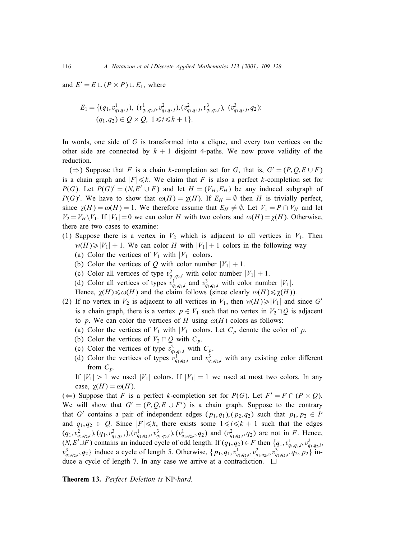and  $E' = E \cup (P \times P) \cup E_1$ , where

$$
E_1 = \{(q_1, v_{q_1,q_2,i}^1), (v_{q_1,q_2,i}^1, v_{q_1,q_2,i}^2), (v_{q_1,q_2,i}^2, v_{q_1,q_2,i}^3), (v_{q_1,q_2,i}^3, q_2);
$$
  

$$
(q_1, q_2) \in Q \times Q, 1 \le i \le k+1\}.
$$

In words, one side of  $G$  is transformed into a clique, and every two vertices on the other side are connected by  $k + 1$  disjoint 4-paths. We now prove validity of the reduction.

(⇒) Suppose that F is a chain k-completion set for G, that is,  $G' = (P, Q, E \cup F)$ is a chain graph and  $|F| \le k$ . We claim that F is also a perfect k-completion set for  $P(G)$ . Let  $P(G)' = (N, E' \cup F)$  and let  $H = (V_H, E_H)$  be any induced subgraph of  $P(G)'$ . We have to show that  $\omega(H) = \chi(H)$ . If  $E_H = \emptyset$  then H is trivially perfect, since  $\chi(H) = \omega(H) = 1$ . We therefore assume that  $E_H \neq \emptyset$ . Let  $V_1 = P \cap V_H$  and let  $V_2 = V_H \backslash V_1$ . If  $|V_1| = 0$  we can color H with two colors and  $\omega(H) = \chi(H)$ . Otherwise, there are two cases to examine:

- (1) Suppose there is a vertex in  $V_2$  which is adjacent to all vertices in  $V_1$ . Then  $w(H) \ge |V_1| + 1$ . We can color H with  $|V_1| + 1$  colors in the following way
	- (a) Color the vertices of  $V_1$  with  $|V_1|$  colors.
	- (b) Color the vertices of Q with color number  $|V_1| + 1$ .
	- (c) Color all vertices of type  $v_{q_1,q_2,i}^2$  with color number  $|V_1| + 1$ .
	- (d) Color all vertices of types  $v_{q_1,q_2,i}^1$  and  $v_{q_1,q_2,i}^3$  with color number  $|V_1|$ .
	- Hence,  $\chi(H) \le \omega(H)$  and the claim follows (since clearly  $\omega(H) \le \chi(H)$ ).
- (2) If no vertex in  $V_2$  is adjacent to all vertices in  $V_1$ , then  $w(H) \geq |V_1|$  and since G' is a chain graph, there is a vertex  $p \in V_1$  such that no vertex in  $V_2 \cap Q$  is adjacent to p. We can color the vertices of H using  $\omega(H)$  colors as follows:
	- (a) Color the vertices of  $V_1$  with  $|V_1|$  colors. Let  $C_p$  denote the color of p.
	- (b) Color the vertices of  $V_2 \cap Q$  with  $C_p$ .
	- (c) Color the vertices of type  $v_{q_1,q_2,i}^2$  with  $C_p$ .
	- (d) Color the vertices of types  $v_{q_1,q_2,i}^1$  and  $v_{q_1,q_2,i}^3$  with any existing color different from  $C_p$ .
	- If  $|V_1| > 1$  we used  $|V_1|$  colors. If  $|V_1| = 1$  we used at most two colors. In any case,  $\chi(H) = \omega(H)$ .

(←) Suppose that F is a perfect k-completion set for  $P(G)$ . Let  $F' = F ∩ (P × Q)$ . We will show that  $G' = (P, Q, E \cup F')$  is a chain graph. Suppose to the contrary that G' contains a pair of independent edges  $(p_1, q_1), (p_2, q_2)$  such that  $p_1, p_2 \in P$ and  $q_1, q_2 \in Q$ . Since  $|F| \le k$ , there exists some  $1 \le i \le k + 1$  such that the edges  $(q_1, v_{q_1,q_2,i}^2)$ ,  $(q_1, v_{q_1,q_2,i}^3)$ ,  $(v_{q_1,q_2,i}^1, v_{q_1,q_2,i}^3)$ ,  $(v_{q_1,q_2,i}^1, q_2)$  and  $(v_{q_1,q_2,i}^2, q_2)$  are not in F. Hence,  $(N, E' \cup F)$  contains an induced cycle of odd length: If  $(q_1, q_2) \in F$  then  $\{q_1, v_{q_1, q_2, i}^1, v_{q_1, q_2, i}^2, \ldots, v_{q_k, q_k, i_k}^2\}$  $v_{q_1,q_2,i}^3, q_2$  induce a cycle of length 5. Otherwise,  $\{p_1, q_1, v_{q_1,q_2,i}^1, v_{q_1,q_2,i}^2, v_{q_1,q_2,i}^3, q_2, p_2\}$  induce a cycle of length 7. In any case we arrive at a contradiction.  $\Box$ 

**Theorem 13.** *Perfect Deletion is* NP-*hard.*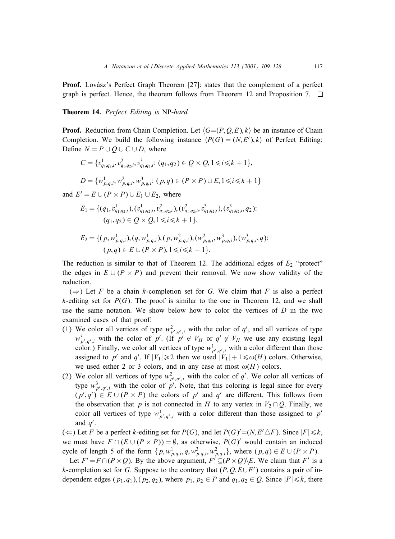**Proof.** Lovász's Perfect Graph Theorem [27]: states that the complement of a perfect graph is perfect. Hence, the theorem follows from Theorem 12 and Proposition 7.  $\Box$ 

**Theorem 14.** *Perfect Editing is* NP-*hard.*

**Proof.** Reduction from Chain Completion. Let  $\langle G=(P,Q,E), k \rangle$  be an instance of Chain Completion. We build the following instance  $\langle P(G) = (N, E'), k \rangle$  of Perfect Editing: Define  $N = P \cup Q \cup C \cup D$ , where

$$
C = \{v_{q_1,q_2,i}^1, v_{q_1,q_2,i}^2, v_{q_1,q_2,i}^3: (q_1, q_2) \in Q \times Q, 1 \le i \le k+1\},\
$$
  

$$
D = \{w_{p,q,i}^1, w_{p,q,i}^2, w_{p,q,i}^3: (p,q) \in (P \times P) \cup E, 1 \le i \le k+1\}
$$

and  $E' = E \cup (P \times P) \cup E_1 \cup E_2$ , where

$$
E_1 = \{ (q_1, v_{q_1, q_2, i}^1), (v_{q_1, q_2, i}^1, v_{q_1, q_2, i}^2), (v_{q_1, q_2, i}^2, v_{q_1, q_2, i}^3), (v_{q_1, q_2, i}^3, q_2);
$$
  

$$
(q_1, q_2) \in Q \times Q, 1 \le i \le k+1 \},\
$$

$$
E_2 = \{ (p, w_{p,q,i}^1), (q, w_{p,q,i}^1), (p, w_{p,q,i}^2), (w_{p,q,i}^2, w_{p,q,i}^3), (w_{p,q,i}^3, q) : (p,q) \in E \cup (P \times P), 1 \le i \le k+1 \}.
$$

The reduction is similar to that of Theorem 12. The additional edges of  $E_2$  "protect" the edges in  $E \cup (P \times P)$  and prevent their removal. We now show validity of the reduction.

 $(\Rightarrow)$  Let F be a chain k-completion set for G. We claim that F is also a perfect k-editing set for  $P(G)$ . The proof is similar to the one in Theorem 12, and we shall use the same notation. We show below how to color the vertices of  $D$  in the two examined cases of that proof:

- (1) We color all vertices of type  $w_{p',q',i}^2$  with the color of q', and all vertices of type  $w_{p',q',i}^3$  with the color of p'. (If  $p' \notin V_H$  or  $q' \notin V_H$  we use any existing legal color.) Finally, we color all vertices of type  $w_{p',q',i}^{\perp}$  with a color different than those assigned to p' and q'. If  $|V_1| \ge 2$  then we used  $|V_1| + 1 \le \omega(H)$  colors. Otherwise, we used either 2 or 3 colors, and in any case at most  $\omega(H)$  colors.
- (2) We color all vertices of type  $w_{p',q',i}^2$  with the color of q'. We color all vertices of type  $w_{p',q',i}^3$  with the color of p'. Note, that this coloring is legal since for every  $(p', q') \in E \cup (P \times P)$  the colors of p' and q' are different. This follows from the observation that p is not connected in H to any vertex in  $V_2 \cap Q$ . Finally, we color all vertices of type  $w_{p',q',i}^{\perp}$  with a color different than those assigned to  $p'$ and  $q'$ .

(  $\Leftarrow$  ) Let *F* be a perfect *k*-editing set for *P*(*G*), and let *P*(*G*)'=(*N*,*E*'∆*F*). Since |*F*| ≤ *k*, we must have  $F \cap (E \cup (P \times P)) = \emptyset$ , as otherwise,  $P(G)'$  would contain an induced cycle of length 5 of the form  $\{p, w_{p,q,i}^1, q, w_{p,q,i}^3, w_{p,q,i}^2\}$ , where  $(p,q) \in E \cup (P \times P)$ .

Let  $F' = F \cap (P \times Q)$ . By the above argument,  $F' \subseteq (P \times Q) \setminus E$ . We claim that  $F'$  is a k-completion set for G. Suppose to the contrary that  $(P, Q, E \cup F')$  contains a pair of independent edges  $(p_1, q_1)$ ,  $(p_2, q_2)$ , where  $p_1, p_2 \in P$  and  $q_1, q_2 \in Q$ . Since  $|F| \le k$ , there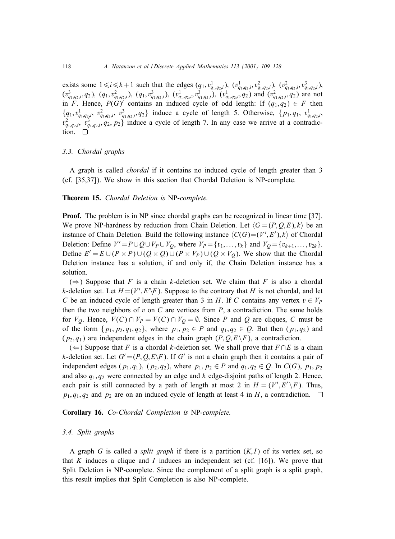exists some  $1 \le i \le k + 1$  such that the edges  $(q_1, v_{q_1, q_2, i}^1)$ ,  $(v_{q_1, q_2, i}^1, v_{q_1, q_2, i}^2, v_{q_1, q_2, i}^3)$ ,  $(v_{q_1,q_2,i}^3, q_2)$ ,  $(q_1, v_{q_1,q_2,i}^2)$ ,  $(q_1, v_{q_1,q_2,i}^3)$ ,  $(v_{q_1,q_2,i}^1, v_{q_1,q_2,i}^3)$ ,  $(v_{q_1,q_2,i}^1, q_2)$  and  $(v_{q_1,q_2,i}^2, q_2)$  are not in F. Hence,  $P(G)$  contains an induced cycle of odd length: If  $(q_1, q_2) \in F$  then  $\{q_1, v_{q_1,q_2,i}^1, v_{q_1,q_2,i}^2, v_{q_1,q_2,i}^3, q_2\}$  induce a cycle of length 5. Otherwise,  $\{p_1, q_1, v_{q_1,q_2,i}^1, v_{q_1,q_2,i}^2, w_{q_1,q_2,i}^2, w_{q_1,q_2,i}^2, w_{q_1,q_2,i}^2, w_{q_1,q_2,i}^2, w_{q_1,q_2,i}^2, w_{q_1,q_2,i}^2, w_{q_1,q_2,i}^2, w$  $v_{q_1,q_2,i}^2$ ,  $v_{q_1,q_2,i}^3$ ,  $q_2$ ,  $p_2$ } induce a cycle of length 7. In any case we arrive at a contradiction.  $\square$ 

## *3.3. Chordal graphs*

A graph is called *chordal* if it contains no induced cycle of length greater than 3 (cf. [35,37]). We show in this section that Chordal Deletion is NP-complete.

#### **Theorem 15.** *Chordal Deletion is* NP-*complete.*

**Proof.** The problem is in NP since chordal graphs can be recognized in linear time [37]. We prove NP-hardness by reduction from Chain Deletion. Let  $\langle G = (P, Q, E), k \rangle$  be an instance of Chain Deletion. Build the following instance  $\langle C(G) = (V', E'), k \rangle$  of Chordal Deletion: Define  $V' = P \cup Q \cup V_P \cup V_Q$ , where  $V_P = \{v_1, \ldots, v_k\}$  and  $V_Q = \{v_{k+1}, \ldots, v_{2k}\}.$ Define  $E' = E \cup (P \times P) \cup (Q \times Q) \cup (P \times V_P) \cup (Q \times V_Q)$ . We show that the Chordal Deletion instance has a solution, if and only if, the Chain Deletion instance has a solution.

( $\Rightarrow$ ) Suppose that F is a chain k-deletion set. We claim that F is also a chordal k-deletion set. Let  $H = (V', E' \backslash F)$ . Suppose to the contrary that H is not chordal, and let C be an induced cycle of length greater than 3 in H. If C contains any vertex  $v \in V_P$ then the two neighbors of v on C are vertices from  $P$ , a contradiction. The same holds for  $V_O$ . Hence,  $V(C) \cap V_P = V(C) \cap V_O = \emptyset$ . Since P and Q are cliques, C must be of the form  $\{p_1, p_2, q_1, q_2\}$ , where  $p_1, p_2 \in P$  and  $q_1, q_2 \in Q$ . But then  $(p_1, q_2)$  and  $(p_2, q_1)$  are independent edges in the chain graph  $(P, Q, E \backslash F)$ , a contradiction.

(←) Suppose that F is a chordal k-deletion set. We shall prove that  $F \cap E$  is a chain k-deletion set. Let  $G' = (P, Q, E\backslash F)$ . If G' is not a chain graph then it contains a pair of independent edges  $(p_1, q_1)$ ,  $(p_2, q_2)$ , where  $p_1, p_2 \in P$  and  $q_1, q_2 \in Q$ . In  $C(G)$ ,  $p_1, p_2$ and also  $q_1, q_2$  were connected by an edge and k edge-disjoint paths of length 2. Hence, each pair is still connected by a path of length at most 2 in  $H = (V', E' \setminus F)$ . Thus,  $p_1, q_1, q_2$  and  $p_2$  are on an induced cycle of length at least 4 in H, a contradiction.  $\Box$ 

#### **Corollary 16.** *Co-Chordal Completion is* NP-*complete.*

#### *3.4. Split graphs*

A graph G is called a *split graph* if there is a partition  $(K, I)$  of its vertex set, so that K induces a clique and I induces an independent set (cf.  $[16]$ ). We prove that Split Deletion is NP-complete. Since the complement of a split graph is a split graph, this result implies that Split Completion is also NP-complete.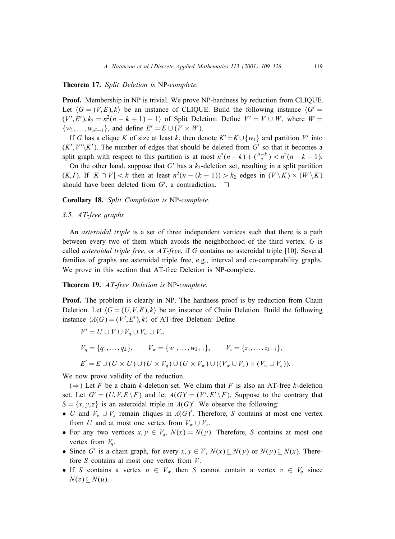**Theorem 17.** *Split Deletion is* NP-*complete.*

**Proof.** Membership in NP is trivial. We prove NP-hardness by reduction from CLIQUE. Let  $\langle G = (V, E), k \rangle$  be an instance of CLIQUE. Build the following instance  $\langle G' \rangle$  $(V', E'), k_2 = n^2(n - k + 1) - 1$  of Split Deletion: Define  $V' = V \cup W$ , where  $W =$  $\{w_1,\ldots,w_{n^2+1}\}\$ , and define  $E'=E\cup (V\times W)$ .

If G has a clique K of size at least k, then denote  $K' = K \cup \{w_1\}$  and partition V' into  $(K', V' \backslash K')$ . The number of edges that should be deleted from  $G'$  so that it becomes a split graph with respect to this partition is at most  $n^2(n-k)+(n-k)(n-k+1)$ .

On the other hand, suppose that  $G'$  has a  $k_2$ -deletion set, resulting in a split partition  $(K, I)$ . If  $|K \cap V| < k$  then at least  $n^2(n - (k - 1)) > k_2$  edges in  $(V \setminus K) \times (W \setminus K)$ should have been deleted from G', a contradiction.

**Corollary 18.** *Split Completion is* NP-*complete.*

# *3.5. AT-free graphs*

An *asteroidal triple* is a set of three independent vertices such that there is a path between every two of them which avoids the neighborhood of the third vertex. G is called *asteroidal triple free*, or *AT-free*, if G contains no asteroidal triple [10]. Several families of graphs are asteroidal triple free, e.g., interval and co-comparability graphs. We prove in this section that AT-free Deletion is NP-complete.

#### **Theorem 19.** *AT-free Deletion is* NP-*complete.*

**Proof.** The problem is clearly in NP. The hardness proof is by reduction from Chain Deletion. Let  $\langle G = (U, V, E), k \rangle$  be an instance of Chain Deletion. Build the following instance  $\langle A(G) = (V', E'), k \rangle$  of AT-free Deletion: Define

$$
V' = U \cup V \cup V_q \cup V_w \cup V_z,
$$
  
\n
$$
V_q = \{q_1, ..., q_k\}, \qquad V_w = \{w_1, ..., w_{k+1}\}, \qquad V_z = \{z_1, ..., z_{k+1}\},
$$
  
\n
$$
E' = E \cup (U \times U) \cup (U \times V_q) \cup (U \times V_w) \cup ((V_w \cup V_z) \times (V_w \cup V_z)).
$$

We now prove validity of the reduction.

( $\Rightarrow$ ) Let F be a chain k-deletion set. We claim that F is also an AT-free k-deletion set. Let  $G' = (U, V, E \backslash F)$  and let  $A(G)' = (V', E' \backslash F)$ . Suppose to the contrary that  $S = \{x, y, z\}$  is an asteroidal triple in  $A(G)'$ . We observe the following:

- U and  $V_w \cup V_z$  remain cliques in  $A(G)'$ . Therefore, S contains at most one vertex from U and at most one vertex from  $V_w \cup V_z$ .
- For any two vertices  $x, y \in V_q$ ,  $N(x) = N(y)$ . Therefore, S contains at most one vertex from  $V_q$ .
- Since G' is a chain graph, for every  $x, y \in V$ ,  $N(x) \subseteq N(y)$  or  $N(y) \subseteq N(x)$ . Therefore  $S$  contains at most one vertex from  $V$ .
- If S contains a vertex  $u \in V_w$  then S cannot contain a vertex  $v \in V_q$  since  $N(v) \subseteq N(u)$ .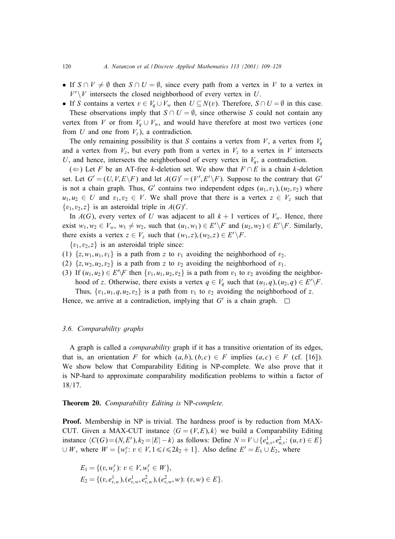- If  $S \cap V \neq \emptyset$  then  $S \cap U = \emptyset$ , since every path from a vertex in V to a vertex in  $V'\VV$  intersects the closed neighborhood of every vertex in U.
- If S contains a vertex  $v \in V_q \cup V_w$  then  $U \subseteq N(v)$ . Therefore,  $S \cap U = \emptyset$  in this case. These observations imply that  $S \cap U = \emptyset$ , since otherwise S could not contain any vertex from V or from  $V_q \cup V_w$ , and would have therefore at most two vertices (one from U and one from  $V_z$ ), a contradiction.

The only remaining possibility is that S contains a vertex from V, a vertex from  $V_q$ and a vertex from  $V_z$ , but every path from a vertex in  $V_z$  to a vertex in V intersects U, and hence, intersects the neighborhood of every vertex in  $V_q$ , a contradiction.

(←) Let F be an AT-free k-deletion set. We show that  $F \cap E$  is a chain k-deletion set. Let  $G' = (U, V, E \backslash F)$  and let  $A(G)' = (V', E' \backslash F)$ . Suppose to the contrary that  $G'$ is not a chain graph. Thus, G' contains two independent edges  $(u_1, v_1), (u_2, v_2)$  where  $u_1, u_2 \in U$  and  $v_1, v_2 \in V$ . We shall prove that there is a vertex  $z \in V_z$  such that  $\{v_1, v_2, z\}$  is an asteroidal triple in  $A(G)'$ .

In  $A(G)$ , every vertex of U was adjacent to all  $k + 1$  vertices of  $V_w$ . Hence, there exist  $w_1, w_2 \in V_w$ ,  $w_1 \neq w_2$ , such that  $(u_1, w_1) \in E' \backslash F$  and  $(u_2, w_2) \in E' \backslash F$ . Similarly, there exists a vertex  $z \in V_z$  such that  $(w_1, z), (w_2, z) \in E' \backslash F$ .

 $\{v_1, v_2, z\}$  is an asteroidal triple since:

- (1)  $\{z, w_1, u_1, v_1\}$  is a path from z to  $v_1$  avoiding the neighborhood of  $v_2$ .
- (2)  $\{z, w_2, u_2, v_2\}$  is a path from z to  $v_2$  avoiding the neighborhood of  $v_1$ .
- (3) If  $(u_1, u_2) \in E' \backslash F$  then  $\{v_1, u_1, u_2, v_2\}$  is a path from  $v_1$  to  $v_2$  avoiding the neighborhood of z. Otherwise, there exists a vertex  $q \in V_q$  such that  $(u_1, q), (u_2, q) \in E' \backslash F$ . Thus,  $\{v_1, u_1, q, u_2, v_2\}$  is a path from  $v_1$  to  $v_2$  avoiding the neighborhood of z.

Hence, we arrive at a contradiction, implying that G' is a chain graph.  $\Box$ 

# *3.6. Comparability graphs*

A graph is called a *comparability* graph if it has a transitive orientation of its edges, that is, an orientation F for which  $(a, b), (b, c) \in F$  implies  $(a, c) \in F$  (cf. [16]). We show below that Comparability Editing is NP-complete. We also prove that it is NP-hard to approximate comparability modification problems to within a factor of 18/17.

# **Theorem 20.** *Comparability Editing is* NP-*complete.*

**Proof.** Membership in NP is trivial. The hardness proof is by reduction from MAX-CUT. Given a MAX-CUT instance  $\langle G = (V, E), k \rangle$  we build a Comparability Editing instance  $\langle C(G) = (N, E'), k_2 = |E| - k \rangle$  as follows: Define  $N = V \cup \{e_{u,v}^1, e_{u,v}^2 : (u, v) \in E\}$  $\cup W$ , where  $W = \{w_i^v : v \in V, 1 \le i \le 2k_2 + 1\}$ . Also define  $E' = E_1 \cup E_2$ , where

$$
E_1 = \{(v, w_i^v): v \in V, w_i^v \in W\},
$$
  
\n
$$
E_2 = \{(v, e_{v, w}^1), (e_{v, w}^1, e_{v, w}^2), (e_{v, w}^2, w): (v, w) \in E\}.
$$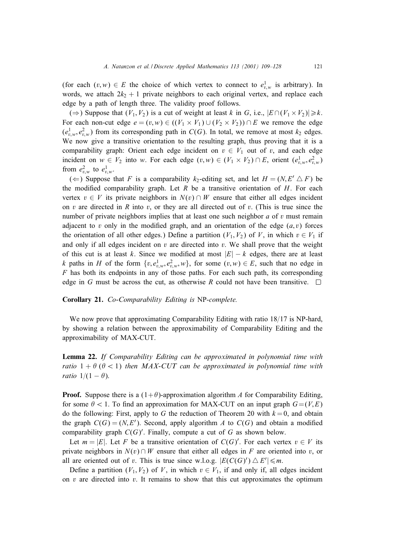(for each  $(v, w) \in E$  the choice of which vertex to connect to  $e_{v,w}^{\perp}$  is arbitrary). In words, we attach  $2k_2 + 1$  private neighbors to each original vertex, and replace each edge by a path of length three. The validity proof follows.

(⇒) Suppose that  $(V_1, V_2)$  is a cut of weight at least k in G, i.e.,  $|E ∩ (V_1 × V_2)| \ge k$ . For each non-cut edge  $e = (v, w) \in ((V_1 \times V_1) \cup (V_2 \times V_2)) \cap E$  we remove the edge  $(e_{v,w}^1, e_{v,w}^2)$  from its corresponding path in  $C(G)$ . In total, we remove at most  $k_2$  edges. We now give a transitive orientation to the resulting graph, thus proving that it is a comparability graph: Orient each edge incident on  $v \in V_1$  out of v, and each edge incident on  $w \in V_2$  into w. For each edge  $(v, w) \in (V_1 \times V_2) \cap E$ , orient  $(e_{v,w}^1, e_{v,w}^2)$ from  $e_{v,w}^2$  to  $e_{v,w}^1$ .

(←) Suppose that F is a comparability  $k_2$ -editing set, and let  $H = (N, E' \triangle F)$  be the modified comparability graph. Let R be a transitive orientation of  $H$ . For each vertex  $v \in V$  its private neighbors in  $N(v) \cap W$  ensure that either all edges incident on v are directed in R into v, or they are all directed out of v. (This is true since the number of private neighbors implies that at least one such neighbor  $a$  of  $v$  must remain adjacent to v only in the modified graph, and an orientation of the edge  $(a, v)$  forces the orientation of all other edges.) Define a partition ( $V_1, V_2$ ) of V, in which  $v \in V_1$  if and only if all edges incident on  $v$  are directed into  $v$ . We shall prove that the weight of this cut is at least k. Since we modified at most  $|E| - k$  edges, there are at least k paths in H of the form  $\{v, e_{v,w}^1, e_{v,w}^2, w\}$ , for some  $(v, w) \in E$ , such that no edge in  $F$  has both its endpoints in any of those paths. For each such path, its corresponding edge in G must be across the cut, as otherwise R could not have been transitive.  $\square$ 

#### **Corollary 21.** *Co-Comparability Editing is* NP-*complete.*

We now prove that approximating Comparability Editing with ratio  $18/17$  is NP-hard, by showinga relation between the approximability of Comparability Editingand the approximability of MAX-CUT.

**Lemma 22.** *If Comparability Editing can be approximated in polynomial time with ratio*  $1 + \theta$  ( $\theta < 1$ ) *then MAX-CUT can be approximated in polynomial time with ratio*  $1/(1 - \theta)$ .

**Proof.** Suppose there is a  $(1+\theta)$ -approximation algorithm A for Comparability Editing, for some  $\theta$  < 1. To find an approximation for MAX-CUT on an input graph  $G=(V, E)$ do the following: First, apply to G the reduction of Theorem 20 with  $k = 0$ , and obtain the graph  $C(G) = (N, E')$ . Second, apply algorithm A to  $C(G)$  and obtain a modified comparability graph  $C(G)'$ . Finally, compute a cut of G as shown below.

Let  $m = |E|$ . Let F be a transitive orientation of  $C(G)'$ . For each vertex  $v \in V$  its private neighbors in  $N(v) \cap W$  ensure that either all edges in F are oriented into v, or all are oriented out of v. This is true since w.l.o.g.  $|E(C(G)) \triangle E'| \le m$ .

Define a partition  $(V_1, V_2)$  of V, in which  $v \in V_1$ , if and only if, all edges incident on v are directed into v. It remains to show that this cut approximates the optimum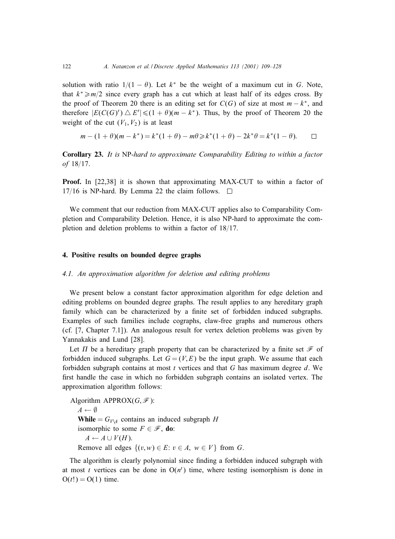solution with ratio  $1/(1 - \theta)$ . Let  $k^*$  be the weight of a maximum cut in G. Note, that  $k^* \ge m/2$  since every graph has a cut which at least half of its edges cross. By the proof of Theorem 20 there is an editing set for  $C(G)$  of size at most  $m - k^*$ , and therefore  $|E(C(G)') \triangle E'| \leq (1 + \theta)(m - k^*)$ . Thus, by the proof of Theorem 20 the weight of the cut  $(V_1, V_2)$  is at least

$$
m - (1 + \theta)(m - k^*) = k^*(1 + \theta) - m\theta \ge k^*(1 + \theta) - 2k^*\theta = k^*(1 - \theta). \qquad \Box
$$

**Corollary 23.** *I t is* NP-*hard to approximate Comparability Editing to within a factor* of 18/17.

**Proof.** In [22,38] it is shown that approximating MAX-CUT to within a factor of 17/16 is NP-hard. By Lemma 22 the claim follows.  $\square$ 

We comment that our reduction from MAX-CUT applies also to Comparability Completion and Comparability Deletion. Hence, it is also NP-hard to approximate the completion and deletion problems to within a factor of  $18/17$ .

# **4. Positive results on bounded degree graphs**

# *4.1. An approximation algorithm for deletion and editing problems*

We present below a constant factor approximation algorithm for edge deletion and editing problems on bounded degree graphs. The result applies to any hereditary graph family which can be characterized by a finite set of forbidden induced subgraphs. Examples of such families include cographs, claw-free graphs and numerous others (cf. [7, Chapter 7:1]). An analogous result for vertex deletion problems was given by Yannakakis and Lund [28].

Let  $\Pi$  be a hereditary graph property that can be characterized by a finite set  ${\mathscr F}$  of forbidden induced subgraphs. Let  $G = (V, E)$  be the input graph. We assume that each forbidden subgraph contains at most  $t$  vertices and that  $G$  has maximum degree  $d$ . We first handle the case in which no forbidden subgraph contains an isolated vertex. The approximation algorithm follows:

Algorithm APPROX $(G, \mathcal{F})$ :  $A \leftarrow \emptyset$ **While** =  $G_{V\setminus A}$  contains an induced subgraph H isomorphic to some  $F \in \mathscr{F}$ , **do**:  $A \leftarrow A \cup V(H)$ . Remove all edges  $\{(v, w) \in E: v \in A, w \in V\}$  from G.

The algorithm is clearly polynomial since finding a forbidden induced subgraph with at most t vertices can be done in  $O(n^{t})$  time, where testing isomorphism is done in  $O(t!) = O(1)$  time.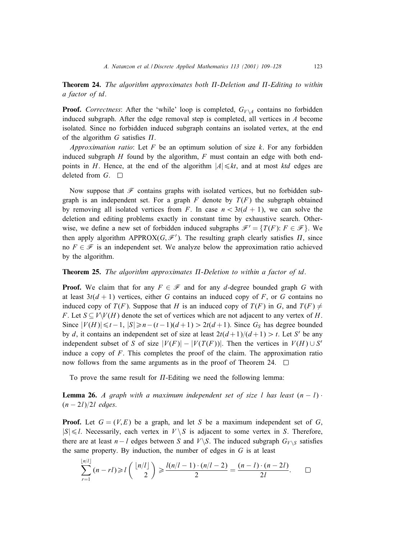**Theorem 24.** The algorithm approximates both  $\Pi$ -Deletion and  $\Pi$ -Editing to within *a factor of* td.

**Proof.** *Correctness*: After the 'while' loop is completed,  $G_{V\setminus A}$  contains no forbidden induced subgraph. After the edge removal step is completed, all vertices in A become isolated. Since no forbidden induced subgraph contains an isolated vertex, at the end of the algorithm  $G$  satisfies  $\Pi$ .

*Approximation ratio*: Let F be an optimum solution of size k. For any forbidden induced subgraph  $H$  found by the algorithm,  $F$  must contain an edge with both endpoints in H. Hence, at the end of the algorithm  $|A| \leq k t$ , and at most ktd edges are deleted from  $G.$   $\Box$ 

Now suppose that  $\mathcal F$  contains graphs with isolated vertices, but no forbidden subgraph is an independent set. For a graph  $F$  denote by  $T(F)$  the subgraph obtained by removing all isolated vertices from F. In case  $n < 3t(d + 1)$ , we can solve the deletion and editing problems exactly in constant time by exhaustive search. Otherwise, we define a new set of forbidden induced subgraphs  $\mathcal{F}' = \{T(F): F \in \mathcal{F}\}\.$  We then apply algorithm APPROX( $G, \mathcal{F}'$ ). The resulting graph clearly satisfies  $\Pi$ , since no  $F \in \mathcal{F}$  is an independent set. We analyze below the approximation ratio achieved by the algorithm.

# **Theorem 25.** The algorithm approximates  $\Pi$ -Deletion to within a factor of td.

**Proof.** We claim that for any  $F \in \mathcal{F}$  and for any d-degree bounded graph G with at least  $3t(d + 1)$  vertices, either G contains an induced copy of F, or G contains no induced copy of  $T(F)$ . Suppose that H is an induced copy of  $T(F)$  in G, and  $T(F) \neq$ F. Let  $S \subseteq V\backslash V(H)$  denote the set of vertices which are not adjacent to any vertex of H. Since  $|V(H)| \le t-1$ ,  $|S| \ge n-(t-1)(d+1) > 2t(d+1)$ . Since  $G_S$  has degree bounded by d, it contains an independent set of size at least  $2t(d+1)/(d+1) > t$ . Let S' be any independent subset of S of size  $|V(F)|-|V(T(F))|$ . Then the vertices in  $V(H) \cup S'$ induce a copy of  $F$ . This completes the proof of the claim. The approximation ratio now follows from the same arguments as in the proof of Theorem 24.  $\Box$ 

To prove the same result for  $\Pi$ -Editing we need the following lemma:

**Lemma 26.** *A graph with a maximum independent set of size l has least*  $(n - l)$ .  $(n - 2l)/2l$  *edges.* 

**Proof.** Let  $G = (V, E)$  be a graph, and let S be a maximum independent set of G,  $|S| \le l$ . Necessarily, each vertex in  $V \setminus S$  is adjacent to some vertex in S. Therefore, there are at least  $n-l$  edges between S and  $V\backslash S$ . The induced subgraph  $G_{V\backslash S}$  satisfies the same property. By induction, the number of edges in  $G$  is at least

$$
\sum_{r=1}^{\lfloor n/l\rfloor} (n-rl) \geqslant l\left(\frac{\lfloor n/l\rfloor}{2}\right) \geqslant \frac{l(n/l-1)\cdot(n/l-2)}{2} = \frac{(n-l)\cdot(n-2l)}{2l}.\qquad \square
$$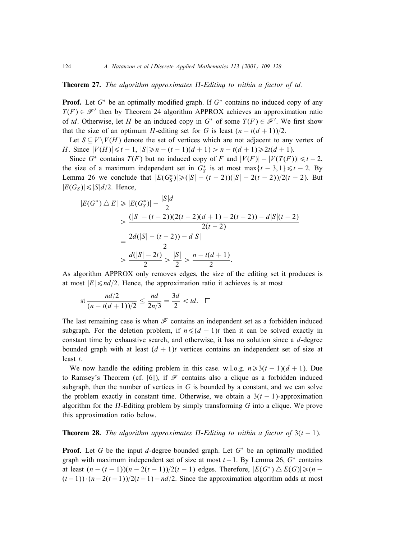# **Theorem 27.** The algorithm approximates  $\Pi$ -Editing to within a factor of td.

**Proof.** Let  $G^*$  be an optimally modified graph. If  $G^*$  contains no induced copy of any  $T(F) \in \mathcal{F}'$  then by Theorem 24 algorithm APPROX achieves an approximation ratio of td. Otherwise, let H be an induced copy in  $G^*$  of some  $T(F) \in \mathcal{F}'$ . We first show that the size of an optimum  $\Pi$ -editing set for G is least  $(n - t(d + 1))/2$ .

Let  $S \subset V \setminus V(H)$  denote the set of vertices which are not adjacent to any vertex of H. Since  $|V(H)| \le t - 1$ ,  $|S| \ge n - (t - 1)(d + 1) > n - t(d + 1) \ge 2t(d + 1)$ .

Since  $G^*$  contains  $T(F)$  but no induced copy of F and  $|V(F)|-|V(T(F))|\leq t-2$ , the size of a maximum independent set in  $G_S^*$  is at most max $\{t - 3, 1\} \le t - 2$ . By Lemma 26 we conclude that  $|E(G_S^*)| \geq (|S| - (t-2))(|S| - 2(t-2))/2(t-2)$ . But  $|E(G_S)| \leq |S|d/2$ . Hence,

$$
|E(G^*) \triangle E| \ge |E(G_5^*)| - \frac{|S|d}{2}
$$
  
> 
$$
\frac{(|S| - (t-2))(2(t-2)(d+1) - 2(t-2)) - d|S|(t-2)}{2(t-2)}
$$
  
= 
$$
\frac{2d(|S| - (t-2)) - d|S|}{2}
$$
  
> 
$$
\frac{d(|S| - 2t)}{2} > \frac{|S|}{2} > \frac{n - t(d+1)}{2}.
$$

As algorithm APPROX only removes edges, the size of the editing set it produces is at most  $|E| \leq d/2$ . Hence, the approximation ratio it achieves is at most

$$
\text{st } \frac{nd/2}{(n-t(d+1))/2} \le \frac{nd}{2n/3} = \frac{3d}{2} < td. \quad \Box
$$

The last remaining case is when  $\mathcal F$  contains an independent set as a forbidden induced subgraph. For the deletion problem, if  $n \leq (d + 1)t$  then it can be solved exactly in constant time by exhaustive search, and otherwise, it has no solution since a  $d$ -degree bounded graph with at least  $(d + 1)t$  vertices contains an independent set of size at least t.

We now handle the editing problem in this case. w.l.o.g.  $n \geq 3(t - 1)(d + 1)$ . Due to Ramsey's Theorem (cf. [6]), if  $\mathcal F$  contains also a clique as a forbidden induced subgraph, then the number of vertices in  $G$  is bounded by a constant, and we can solve the problem exactly in constant time. Otherwise, we obtain a  $3(t - 1)$ -approximation algorithm for the  $\Pi$ -Editing problem by simply transforming  $G$  into a clique. We prove this approximation ratio below.

# **Theorem 28.** *The algorithm approximates*  $\Pi$ -Editing to within a factor of 3(t – 1).

**Proof.** Let G be the input d-degree bounded graph. Let  $G^*$  be an optimally modified graph with maximum independent set of size at most  $t-1$ . By Lemma 26,  $G^*$  contains at least  $(n - (t - 1))(n - 2(t - 1))/2(t - 1)$  edges. Therefore,  $|E(G^*) \triangle E(G)| \ge (n (t-1)$ ) · $(n-2(t-1))/2(t-1)$  – nd/2. Since the approximation algorithm adds at most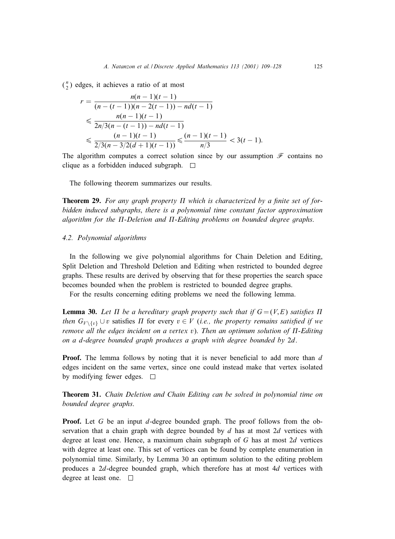$\binom{n}{2}$  edges, it achieves a ratio of at most

$$
r = \frac{n(n-1)(t-1)}{(n-(t-1))(n-2(t-1))-nd(t-1)}
$$
  
\$\leq \frac{n(n-1)(t-1)}{2n/3(n-(t-1))-nd(t-1)}\$  
\$\leq \frac{(n-1)(t-1)}{2/3(n-3/2(d+1)(t-1))} \leq \frac{(n-1)(t-1)}{n/3} < 3(t-1).

The algorithm computes a correct solution since by our assumption  $\mathcal F$  contains no clique as a forbidden induced subgraph.  $\Box$ 

The following theorem summarizes our results.

**Theorem 29.** For any graph property  $\Pi$  which is characterized by a finite set of for*bidden induced subgraphs*; *there is a polynomial time constant factor approximation* algorithm for the  $\Pi$ -Deletion and  $\Pi$ -Editing problems on bounded degree graphs.

# *4.2. Polynomial algorithms*

In the following we give polynomial algorithms for Chain Deletion and Editing, Split Deletion and Threshold Deletion and Editing when restricted to bounded degree graphs. These results are derived by observing that for these properties the search space becomes bounded when the problem is restricted to bounded degree graphs.

For the results concerning editing problems we need the following lemma.

**Lemma 30.** Let  $\Pi$  be a hereditary graph property such that if  $G = (V, E)$  satisfies  $\Pi$ *then*  $G_{V\setminus\{v\}}$  ∪ v satisfies  $\Pi$  for every  $v \in V$  (*i.e., the property remains satisfied if we*  $r$ emove all the edges incident on a vertex v). Then an optimum solution of  $\Pi$ -Editing *on a* d-*degree bounded graph produces a graph with degree bounded by* 2d.

**Proof.** The lemma follows by noting that it is never beneficial to add more than  $d$ edges incident on the same vertex, since one could instead make that vertex isolated by modifying fewer edges.  $\Box$ 

**Theorem 31.** *Chain Deletion and Chain Editing can be solved in polynomial time on bounded degree graphs*.

**Proof.** Let G be an input d-degree bounded graph. The proof follows from the observation that a chain graph with degree bounded by  $d$  has at most  $2d$  vertices with degree at least one. Hence, a maximum chain subgraph of G has at most 2d vertices with degree at least one. This set of vertices can be found by complete enumeration in polynomial time. Similarly, by Lemma 30 an optimum solution to the editingproblem produces a 2d-degree bounded graph, which therefore has at most 4d vertices with degree at least one.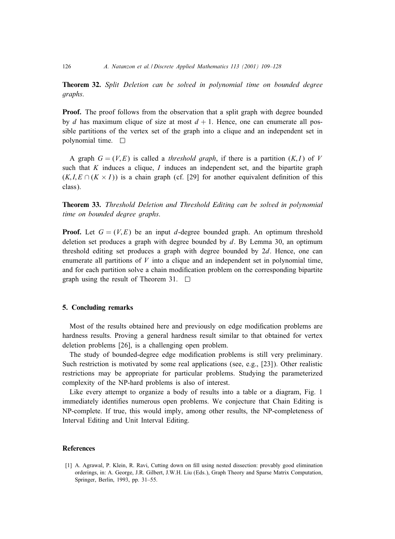**Theorem 32.** *Split Deletion can be solved in polynomial time on bounded degree graphs*.

**Proof.** The proof follows from the observation that a split graph with degree bounded by d has maximum clique of size at most  $d + 1$ . Hence, one can enumerate all possible partitions of the vertex set of the graph into a clique and an independent set in polynomial time.  $\square$ 

A graph  $G = (V, E)$  is called a *threshold graph*, if there is a partition  $(K, I)$  of V such that  $K$  induces a clique,  $I$  induces an independent set, and the bipartite graph  $(K, I, E \cap (K \times I))$  is a chain graph (cf. [29] for another equivalent definition of this class).

**Theorem 33.** *Threshold Deletion and Threshold Editing can be solved in polynomial time on bounded degree graphs*.

**Proof.** Let  $G = (V, E)$  be an input d-degree bounded graph. An optimum threshold deletion set produces a graph with degree bounded by  $d$ . By Lemma 30, an optimum threshold editing set produces a graph with degree bounded by 2d. Hence, one can enumerate all partitions of  $V$  into a clique and an independent set in polynomial time, and for each partition solve a chain modification problem on the corresponding bipartite graph using the result of Theorem 31.  $\Box$ 

# **5. Concluding remarks**

Most of the results obtained here and previously on edge modification problems are hardness results. Proving a general hardness result similar to that obtained for vertex deletion problems [26], is a challenging open problem.

The study of bounded-degree edge modification problems is still very preliminary. Such restriction is motivated by some real applications (see, e.g., [23]). Other realistic restrictions may be appropriate for particular problems. Studying the parameterized complexity of the NP-hard problems is also of interest.

Like every attempt to organize a body of results into a table or a diagram, Fig. 1 immediately identifies numerous open problems. We conjecture that Chain Editing is NP-complete. If true, this would imply, among other results, the NP-completeness of Interval Editing and Unit Interval Editing.

## **References**

[1] A. Agrawal, P. Klein, R. Ravi, Cutting down on fill using nested dissection: provably good elimination orderings, in: A. George, J.R. Gilbert, J.W.H. Liu (Eds.), Graph Theory and Sparse Matrix Computation, Springer, Berlin, 1993, pp. 31–55.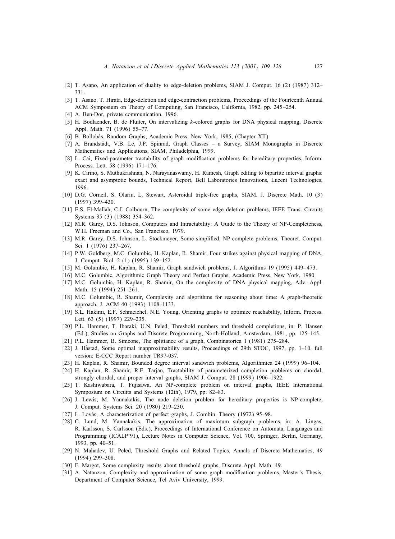- [2] T. Asano, An application of duality to edge-deletion problems, SIAM J. Comput. 16 (2) (1987) 312– 331.
- [3] T. Asano, T. Hirata, Edge-deletion and edge-contraction problems, Proceedings of the Fourteenth Annual ACM Symposium on Theory of Computing, San Francisco, California, 1982, pp. 245 –254.
- [4] A. Ben-Dor, private communication, 1996.
- [5] H. Bodlaender, B. de Fluiter, On intervalizing k-colored graphs for DNA physical mapping, Discrete Appl. Math. 71 (1996) 55–77.
- [6] B. Bollobás, Random Graphs, Academic Press, New York, 1985, (Chapter XII).
- [7] A. Brandstädt, V.B. Le, J.P. Spinrad, Graph Classes a Survey, SIAM Monographs in Discrete Mathematics and Applications, SIAM, Philadelphia, 1999.
- [8] L. Cai, Fixed-parameter tractability of graph modification problems for hereditary properties, Inform. Process. Lett. 58 (1996) 171–176.
- [9] K. Cirino, S. Muthukrishnan, N. Narayanaswamy, H. Ramesh, Graph editing to bipartite interval graphs: exact and asymptotic bounds, Technical Report, Bell Laboratories Innovations, Lucent Technologies, 1996.
- [10] D.G. Corneil, S. Olariu, L. Stewart, Asteroidal triple-free graphs, SIAM. J. Discrete Math. 10 (3) (1997) 399–430.
- [11] E.S. El-Mallah, C.J. Colbourn, The complexity of some edge deletion problems, IEEE Trans. Circuits Systems 35 (3) (1988) 354–362.
- [12] M.R. Garey, D.S. Johnson, Computers and Intractability: A Guide to the Theory of NP-Completeness, W.H. Freeman and Co., San Francisco, 1979.
- [13] M.R. Garey, D.S. Johnson, L. Stockmeyer, Some simplied, NP-complete problems, Theoret. Comput. Sci. 1 (1976) 237–267.
- [14] P.W. Goldberg, M.C. Golumbic, H. Kaplan, R. Shamir, Four strikes against physical mapping of DNA, J. Comput. Biol. 2 (1) (1995) 139–152.
- [15] M. Golumbic, H. Kaplan, R. Shamir, Graph sandwich problems, J. Algorithms 19 (1995) 449– 473.
- [16] M.C. Golumbic, Algorithmic Graph Theory and Perfect Graphs, Academic Press, New York, 1980.
- [17] M.C. Golumbic, H. Kaplan, R. Shamir, On the complexity of DNA physical mapping, Adv. Appl. Math. 15 (1994) 251–261.
- [18] M.C. Golumbic, R. Shamir, Complexity and algorithms for reasoning about time: A graph-theoretic approach, J. ACM 40 (1993) 1108–1133.
- [19] S.L. Hakimi, E.F. Schmeichel, N.E. Young, Orienting graphs to optimize reachability, Inform. Process. Lett. 63 (5) (1997) 229–235.
- [20] P.L. Hammer, T. Ibaraki, U.N. Peled, Threshold numbers and threshold completions, in: P. Hansen (Ed.), Studies on Graphs and Discrete Programming, North-Holland, Amsterdam, 1981, pp. 125–145.
- [21] P.L. Hammer, B. Simeone, The splittance of a graph, Combinatorica 1 (1981) 275–284.
- [22] J. Hastad, Some optimal inapproximability results, Proceedings of 29th STOC, 1997, pp. 1–10, full version: E-CCC Report number TR97-037.
- [23] H. Kaplan, R. Shamir, Bounded degree interval sandwich problems, Algorithmica 24 (1999) 96–104.
- [24] H. Kaplan, R. Shamir, R.E. Tarjan, Tractability of parameterized completion problems on chordal, strongly chordal, and proper interval graphs, SIAM J. Comput. 28 (1999) 1906–1922.
- [25] T. Kashiwabara, T. Fujisawa, An NP-complete problem on interval graphs, IEEE International Symposium on Circuits and Systems (12th), 1979, pp. 82–83.
- [26] J. Lewis, M. Yannakakis, The node deletion problem for hereditary properties is NP-complete, J. Comput. Systems Sci. 20 (1980) 219–230.
- [27] L. Lovás, A characterization of perfect graphs, J. Combin. Theory (1972) 95–98.
- [28] C. Lund, M. Yannakakis, The approximation of maximum subgraph problems, in: A. Lingas, R. Karlsson, S. Carlsson (Eds.), Proceedings of International Conference on Automata, Languages and Programming (ICALP'91), Lecture Notes in Computer Science, Vol. 700, Springer, Berlin, Germany, 1993, pp. 40–51.
- [29] N. Mahadev, U. Peled, Threshold Graphs and Related Topics, Annals of Discrete Mathematics, 49 (1994) 299–308.
- [30] F. Margot, Some complexity results about threshold graphs, Discrete Appl. Math. 49.
- [31] A. Natanzon, Complexity and approximation of some graph modification problems, Master's Thesis, Department of Computer Science, Tel Aviv University, 1999.